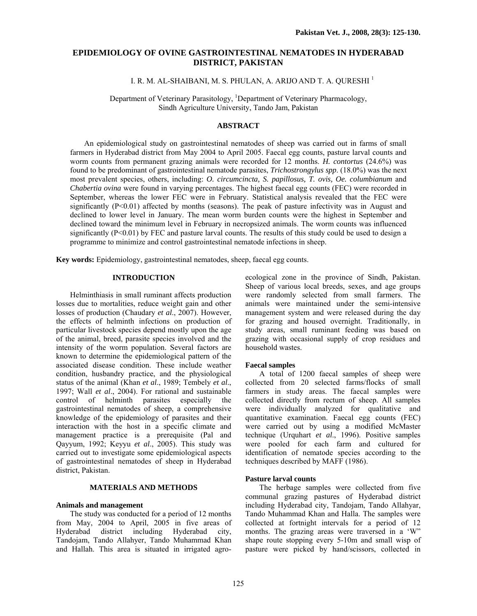# **EPIDEMIOLOGY OF OVINE GASTROINTESTINAL NEMATODES IN HYDERABAD DISTRICT, PAKISTAN**

I. R. M. AL-SHAIBANI, M. S. PHULAN, A. ARIJO AND T. A. QURESHI <sup>1</sup>

Department of Veterinary Parasitology, <sup>1</sup>Department of Veterinary Pharmacology, Sindh Agriculture University, Tando Jam, Pakistan

# **ABSTRACT**

An epidemiological study on gastrointestinal nematodes of sheep was carried out in farms of small farmers in Hyderabad district from May 2004 to April 2005. Faecal egg counts, pasture larval counts and worm counts from permanent grazing animals were recorded for 12 months. *H. contortus* (24.6%) was found to be predominant of gastrointestinal nematode parasites, *Trichostrongylus spp*. (18.0%) was the next most prevalent species, others, including: *O. circumcincta, S. papillosus, T. ovis, Oe. columbianum* and *Chabertia ovina* were found in varying percentages. The highest faecal egg counts (FEC) were recorded in September, whereas the lower FEC were in February. Statistical analysis revealed that the FEC were significantly (P<0.01) affected by months (seasons). The peak of pasture infectivity was in August and declined to lower level in January. The mean worm burden counts were the highest in September and declined toward the minimum level in February in necropsized animals. The worm counts was influenced significantly (P<0.01) by FEC and pasture larval counts. The results of this study could be used to design a programme to minimize and control gastrointestinal nematode infections in sheep.

**Key words:** Epidemiology, gastrointestinal nematodes, sheep, faecal egg counts.

# **INTRODUCTION**

Helminthiasis in small ruminant affects production losses due to mortalities, reduce weight gain and other losses of production (Chaudary *et al*., 2007). However, the effects of helminth infections on production of particular livestock species depend mostly upon the age of the animal, breed, parasite species involved and the intensity of the worm population. Several factors are known to determine the epidemiological pattern of the associated disease condition. These include weather condition, husbandry practice, and the physiological status of the animal (Khan *et al*., 1989; Tembely *et al*., 1997; Wall *et al*., 2004). For rational and sustainable control of helminth parasites especially the gastrointestinal nematodes of sheep, a comprehensive knowledge of the epidemiology of parasites and their interaction with the host in a specific climate and management practice is a prerequisite (Pal and Qayyum, 1992; Keyyu *et al*., 2005). This study was carried out to investigate some epidemiological aspects of gastrointestinal nematodes of sheep in Hyderabad district, Pakistan.

# **MATERIALS AND METHODS**

# **Animals and management**

The study was conducted for a period of 12 months from May, 2004 to April, 2005 in five areas of Hyderabad district including Hyderabad city, Tandojam, Tando Allahyer, Tando Muhammad Khan and Hallah. This area is situated in irrigated agroecological zone in the province of Sindh, Pakistan. Sheep of various local breeds, sexes, and age groups were randomly selected from small farmers. The animals were maintained under the semi-intensive management system and were released during the day for grazing and housed overnight. Traditionally, in study areas, small ruminant feeding was based on grazing with occasional supply of crop residues and household wastes.

#### **Faecal samples**

A total of 1200 faecal samples of sheep were collected from 20 selected farms/flocks of small farmers in study areas. The faecal samples were collected directly from rectum of sheep. All samples were individually analyzed for qualitative and quantitative examination. Faecal egg counts (FEC) were carried out by using a modified McMaster technique (Urquhart *et al*., 1996). Positive samples were pooled for each farm and cultured for identification of nematode species according to the techniques described by MAFF (1986).

## **Pasture larval counts**

The herbage samples were collected from five communal grazing pastures of Hyderabad district including Hyderabad city, Tandojam, Tando Allahyar, Tando Muhammad Khan and Halla. The samples were collected at fortnight intervals for a period of 12 months. The grazing areas were traversed in a 'W" shape route stopping every 5-10m and small wisp of pasture were picked by hand/scissors, collected in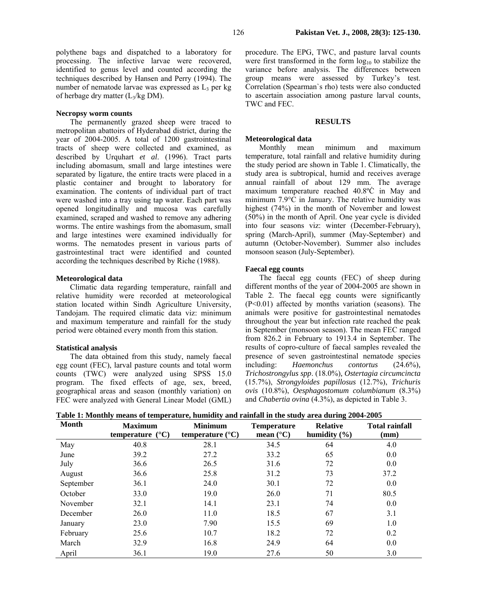polythene bags and dispatched to a laboratory for processing. The infective larvae were recovered, identified to genus level and counted according the techniques described by Hansen and Perry (1994). The number of nematode larvae was expressed as  $L_3$  per kg of herbage dry matter  $(L_3/kg DM)$ .

## **Necropsy worm counts**

The permanently grazed sheep were traced to metropolitan abattoirs of Hyderabad district, during the year of 2004-2005. A total of 1200 gastrointestinal tracts of sheep were collected and examined, as described by Urquhart *et al*. (1996). Tract parts including abomasum, small and large intestines were separated by ligature, the entire tracts were placed in a plastic container and brought to laboratory for examination. The contents of individual part of tract were washed into a tray using tap water. Each part was opened longitudinally and mucosa was carefully examined, scraped and washed to remove any adhering worms. The entire washings from the abomasum, small and large intestines were examined individually for worms. The nematodes present in various parts of gastrointestinal tract were identified and counted according the techniques described by Riche (1988).

### **Meteorological data**

Climatic data regarding temperature, rainfall and relative humidity were recorded at meteorological station located within Sindh Agriculture University, Tandojam. The required climatic data viz: minimum and maximum temperature and rainfall for the study period were obtained every month from this station.

## **Statistical analysis**

The data obtained from this study, namely faecal egg count (FEC), larval pasture counts and total worm counts (TWC) were analyzed using SPSS 15.0 program. The fixed effects of age, sex, breed, geographical areas and season (monthly variation) on FEC were analyzed with General Linear Model (GML) procedure. The EPG, TWC, and pasture larval counts were first transformed in the form  $log_{10}$  to stabilize the variance before analysis. The differences between group means were assessed by Turkey's test. Correlation (Spearman`s rho) tests were also conducted to ascertain association among pasture larval counts, TWC and FEC.

### **RESULTS**

### **Meteorological data**

Monthly mean minimum and maximum temperature, total rainfall and relative humidity during the study period are shown in Table 1. Climatically, the study area is subtropical, humid and receives average annual rainfall of about 129 mm. The average maximum temperature reached 40.8ºĊ in May and minimum 7.9°C in January. The relative humidity was highest (74%) in the month of November and lowest (50%) in the month of April. One year cycle is divided into four seasons viz: winter (December-February), spring (March-April), summer (May-September) and autumn (October-November). Summer also includes monsoon season (July-September).

# **Faecal egg counts**

The faecal egg counts (FEC) of sheep during different months of the year of 2004-2005 are shown in Table 2. The faecal egg counts were significantly  $(P<0.01)$  affected by months variation (seasons). The animals were positive for gastrointestinal nematodes throughout the year but infection rate reached the peak in September (monsoon season). The mean FEC ranged from 826.2 in February to 1913.4 in September. The results of copro-culture of faecal samples revealed the presence of seven gastrointestinal nematode species including: *Haemonchus contortus* (24.6%)*, Trichostrongylus spp*. (18.0%)*, Ostertagia circumcincta*  (15.7%), *Strongyloides papillosus* (12.7%), *Trichuris ovis* (10.8%), *Oesphagostomum columbianum* (8.3%) and *Chabertia ovina* (4.3%), as depicted in Table 3.

| <b>Month</b> | <b>Maximum</b><br>$({}^{\circ}{\bf C})$<br>temperature | <b>Minimum</b><br>temperature $(^{\circ}C)$ | <b>Temperature</b><br>mean $(^{\circ}C)$ | $\circ$<br><b>Relative</b><br>humidity $(\% )$ | <b>Total rainfall</b><br>(mm) |
|--------------|--------------------------------------------------------|---------------------------------------------|------------------------------------------|------------------------------------------------|-------------------------------|
| May          | 40.8                                                   | 28.1                                        | 34.5                                     | 64                                             | 4.0                           |
| June         | 39.2                                                   | 27.2                                        | 33.2                                     | 65                                             | 0.0                           |
| July         | 36.6                                                   | 26.5                                        | 31.6                                     | 72                                             | 0.0                           |
| August       | 36.6                                                   | 25.8                                        | 31.2                                     | 73                                             | 37.2                          |
| September    | 36.1                                                   | 24.0                                        | 30.1                                     | 72                                             | 0.0                           |
| October      | 33.0                                                   | 19.0                                        | 26.0                                     | 71                                             | 80.5                          |
| November     | 32.1                                                   | 14.1                                        | 23.1                                     | 74                                             | 0.0                           |
| December     | 26.0                                                   | 11.0                                        | 18.5                                     | 67                                             | 3.1                           |
| January      | 23.0                                                   | 7.90                                        | 15.5                                     | 69                                             | 1.0                           |
| February     | 25.6                                                   | 10.7                                        | 18.2                                     | 72                                             | 0.2                           |
| March        | 32.9                                                   | 16.8                                        | 24.9                                     | 64                                             | 0.0                           |
| April        | 36.1                                                   | 19.0                                        | 27.6                                     | 50                                             | 3.0                           |

**Table 1: Monthly means of temperature, humidity and rainfall in the study area during 2004-2005**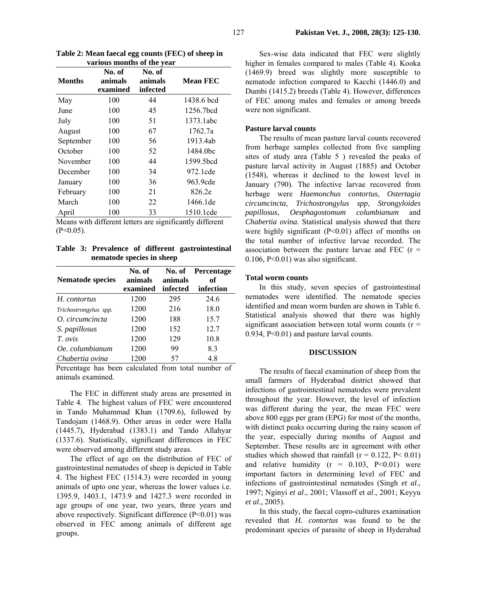| various months of the year |                               |                               |                       |  |  |  |  |  |
|----------------------------|-------------------------------|-------------------------------|-----------------------|--|--|--|--|--|
| <b>Months</b>              | No. of<br>animals<br>examined | No. of<br>animals<br>infected | <b>Mean FEC</b>       |  |  |  |  |  |
| May                        | 100                           | 44                            | 1438.6 bcd            |  |  |  |  |  |
| June                       | 100                           | 45                            | 1256.7bcd             |  |  |  |  |  |
| July                       | 100                           | 51                            | 1373.1abc             |  |  |  |  |  |
| August                     | 100                           | 67                            | 1762.7a               |  |  |  |  |  |
| September                  | 100                           | 56                            | 1913.4ab              |  |  |  |  |  |
| October                    | 100                           | 52                            | 1484.0bc              |  |  |  |  |  |
| November                   | 100                           | 44                            | 1599.5 <sub>bcd</sub> |  |  |  |  |  |
| December                   | 100                           | 34                            | 972.1 cde             |  |  |  |  |  |
| January                    | 100                           | 36                            | 963.9cde              |  |  |  |  |  |
| February                   | 100                           | 21                            | 826.2e                |  |  |  |  |  |
| March                      | 100                           | 22                            | 1466.1de              |  |  |  |  |  |
| April                      | 100                           | 33                            | 1510.1cde             |  |  |  |  |  |

**Table 2: Mean faecal egg counts (FEC) of sheep in various months of the year** 

Means with different letters are significantly different  $(P<0.05)$ .

**Table 3: Prevalence of different gastrointestinal nematode species in sheep** 

| <b>Nematode species</b> | No. of<br>animals | No. of<br>animals | <b>Percentage</b><br>of |
|-------------------------|-------------------|-------------------|-------------------------|
|                         | examined          | infected          | infection               |
| H. contortus            | 1200              | 295               | 24.6                    |
| Trichostrongylus spp.   | 1200              | 216               | 18.0                    |
| O. circumcincta         | 1200              | 188               | 15.7                    |
| S. papillosus           | 1200              | 152               | 12.7                    |
| T. ovis                 | 1200              | 129               | 10.8                    |
| Oe. columbianum         | 1200              | 99                | 8.3                     |
| Chabertia ovina         | 1200              | 57                | 4.8                     |

Percentage has been calculated from total number of animals examined.

The FEC in different study areas are presented in Table 4. The highest values of FEC were encountered in Tando Muhammad Khan (1709.6), followed by Tandojam (1468.9). Other areas in order were Halla (1445.7), Hyderabad (1383.1) and Tando Allahyar (1337.6). Statistically, significant differences in FEC were observed among different study areas.

The effect of age on the distribution of FEC of gastrointestinal nematodes of sheep is depicted in Table 4. The highest FEC (1514.3) were recorded in young animals of upto one year, whereas the lower values i.e. 1395.9, 1403.1, 1473.9 and 1427.3 were recorded in age groups of one year, two years, three years and above respectively. Significant difference (P<0.01) was observed in FEC among animals of different age groups.

Sex-wise data indicated that FEC were slightly higher in females compared to males (Table 4). Kooka (1469.9) breed was slightly more susceptible to nematode infection compared to Kacchi (1446.0) and Dumbi (1415.2) breeds (Table 4). However, differences of FEC among males and females or among breeds were non significant.

## **Pasture larval counts**

The results of mean pasture larval counts recovered from herbage samples collected from five sampling sites of study area (Table 5 ) revealed the peaks of pasture larval activity in August (1885) and October (1548), whereas it declined to the lowest level in January (790). The infective larvae recovered from herbage were *Haemonchus contortus*, *Ostertagia circumcincta*, *Trichostrongylus spp*, *Strongyloides papillosus*, *Oesphagostomum columbianum* and *Chabertia ovina.* Statistical analysis showed that there were highly significant (P<0.01) affect of months on the total number of infective larvae recorded. The association between the pasture larvae and FEC  $(r =$  $0.106$ , P< $0.01$ ) was also significant.

## **Total worm counts**

In this study, seven species of gastrointestinal nematodes were identified. The nematode species identified and mean worm burden are shown in Table 6. Statistical analysis showed that there was highly significant association between total worm counts  $(r =$ 0.934, P<0.01) and pasture larval counts.

### **DISCUSSION**

The results of faecal examination of sheep from the small farmers of Hyderabad district showed that infections of gastrointestinal nematodes were prevalent throughout the year. However, the level of infection was different during the year, the mean FEC were above 800 eggs per gram (EPG) for most of the months, with distinct peaks occurring during the rainy season of the year, especially during months of August and September. These results are in agreement with other studies which showed that rainfall ( $r = 0.122$ ,  $P < 0.01$ ) and relative humidity  $(r = 0.103, P<0.01)$  were important factors in determining level of FEC and infections of gastrointestinal nematodes (Singh *et al*., 1997; Nginyi *et al*., 2001; Vlassoff et *al*., 2001; Keyyu *et al*., 2005).

In this study, the faecal copro-cultures examination revealed that *H. contortus* was found to be the predominant species of parasite of sheep in Hyderabad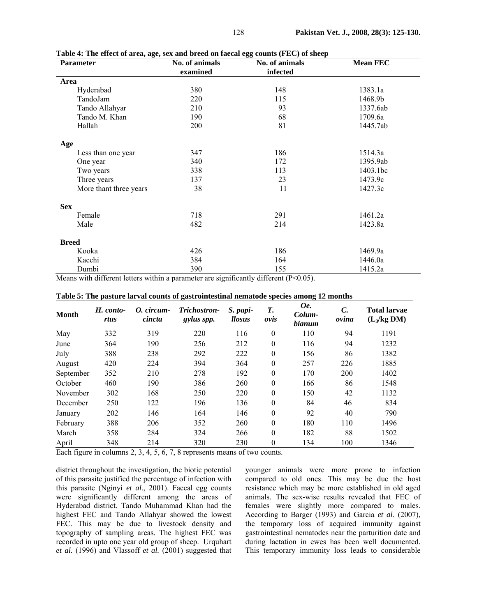| <b>Parameter</b>       | No. of animals | No. of animals | <b>Mean FEC</b> |  |
|------------------------|----------------|----------------|-----------------|--|
|                        | examined       | infected       |                 |  |
| Area                   |                |                |                 |  |
| Hyderabad              | 380            | 148            | 1383.1a         |  |
| TandoJam               | 220            | 115            | 1468.9b         |  |
| Tando Allahyar         | 210            | 93             | 1337.6ab        |  |
| Tando M. Khan          | 190            | 68             | 1709.6a         |  |
| Hallah                 | 200            | 81             | 1445.7ab        |  |
| Age                    |                |                |                 |  |
| Less than one year     | 347            | 186            | 1514.3a         |  |
| One year               | 340            | 172            | 1395.9ab        |  |
| Two years              | 338            | 113            | 1403.1bc        |  |
| Three years            | 137            | 23             | 1473.9c         |  |
| More thant three years | 38             | 11             | 1427.3c         |  |
| <b>Sex</b>             |                |                |                 |  |
| Female                 | 718            | 291            | 1461.2a         |  |
| Male                   | 482            | 214            | 1423.8a         |  |
| <b>Breed</b>           |                |                |                 |  |
| Kooka                  | 426            | 186            | 1469.9a         |  |
| Kacchi                 | 384            | 164            | 1446.0a         |  |
| Dumbi                  | 390            | 155            | 1415.2a         |  |

**Table 4: The effect of area, age, sex and breed on faecal egg counts (FEC) of sheep** 

Means with different letters within a parameter are significantly different (P<0.05).

| Table 5: The pasture larval counts of gastrointestinal nematode species among 12 months |  |  |  |  |  |  |
|-----------------------------------------------------------------------------------------|--|--|--|--|--|--|
|-----------------------------------------------------------------------------------------|--|--|--|--|--|--|

| <b>Month</b> | H. conto-<br>rtus | O. circum-<br>cincta | Trichostron-<br>gylus spp. | S. papi-<br>llosus | Т.<br>ovis   | Oe.<br>Colum-<br><b>bianum</b> | $\mathcal{C}$ .<br>ovina | <b>Total larvae</b><br>$(L_3/kg DM)$ |
|--------------|-------------------|----------------------|----------------------------|--------------------|--------------|--------------------------------|--------------------------|--------------------------------------|
| May          | 332               | 319                  | 220                        | 116                | $\theta$     | 110                            | 94                       | 1191                                 |
| June         | 364               | 190                  | 256                        | 212                | $\theta$     | 116                            | 94                       | 1232                                 |
| July         | 388               | 238                  | 292                        | 222                | $\theta$     | 156                            | 86                       | 1382                                 |
| August       | 420               | 224                  | 394                        | 364                | $\theta$     | 257                            | 226                      | 1885                                 |
| September    | 352               | 210                  | 278                        | 192                | $\theta$     | 170                            | 200                      | 1402                                 |
| October      | 460               | 190                  | 386                        | 260                | $\theta$     | 166                            | 86                       | 1548                                 |
| November     | 302               | 168                  | 250                        | 220                | $\Omega$     | 150                            | 42                       | 1132                                 |
| December     | 250               | 122                  | 196                        | 136                | $\mathbf{0}$ | 84                             | 46                       | 834                                  |
| January      | 202               | 146                  | 164                        | 146                | $\theta$     | 92                             | 40                       | 790                                  |
| February     | 388               | 206                  | 352                        | 260                | $\theta$     | 180                            | 110                      | 1496                                 |
| March        | 358               | 284                  | 324                        | 266                | $\theta$     | 182                            | 88                       | 1502                                 |
| April        | 348               | 214                  | 320                        | 230                | $\theta$     | 134                            | 100                      | 1346                                 |

Each figure in columns 2, 3, 4, 5, 6, 7, 8 represents means of two counts.

district throughout the investigation, the biotic potential of this parasite justified the percentage of infection with this parasite (Nginyi *et al*., 2001). Faecal egg counts were significantly different among the areas of Hyderabad district. Tando Muhammad Khan had the highest FEC and Tando Allahyar showed the lowest FEC. This may be due to livestock density and topography of sampling areas. The highest FEC was recorded in upto one year old group of sheep. Urquhart *et al*. (1996) and Vlassoff *et al.* (2001) suggested that

younger animals were more prone to infection compared to old ones. This may be due the host resistance which may be more established in old aged animals. The sex-wise results revealed that FEC of females were slightly more compared to males. According to Barger (1993) and Garcia *et al*. (2007), the temporary loss of acquired immunity against gastrointestinal nematodes near the parturition date and during lactation in ewes has been well documented. This temporary immunity loss leads to considerable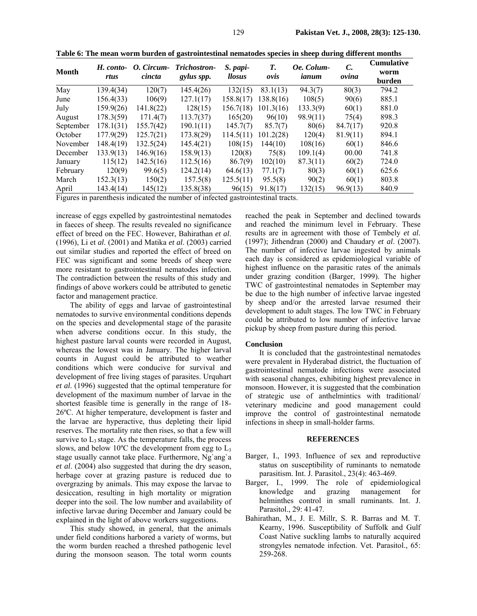| Month     | H. conto-<br>rtus | O. Circum-<br>cincta | Trichostron-<br>gylus spp. | S. papi-<br>llosus | Т.<br>ovis | Oe. Colum-<br>ianum | C.<br>ovina | <b>Cumulative</b><br>worm<br>burden |
|-----------|-------------------|----------------------|----------------------------|--------------------|------------|---------------------|-------------|-------------------------------------|
| May       | 139.4(34)         | 120(7)               | 145.4(26)                  | 132(15)            | 83.1(13)   | 94.3(7)             | 80(3)       | 794.2                               |
| June      | 156.4(33)         | 106(9)               | 127.1(17)                  | 158.8(17)          | 138.8(16)  | 108(5)              | 90(6)       | 885.1                               |
| July      | 159.9(26)         | 141.8(22)            | 128(15)                    | 156.7(18)          | 101.3(16)  | 133.3(9)            | 60(1)       | 881.0                               |
| August    | 178.3(59)         | 171.4(7)             | 113.7(37)                  | 165(20)            | 96(10)     | 98.9(11)            | 75(4)       | 898.3                               |
| September | 178.1(31)         | 155.7(42)            | 190.1(11)                  | 145.7(7)           | 85.7(7)    | 80(6)               | 84.7(17)    | 920.8                               |
| October   | 177.9(29)         | 125.7(21)            | 173.8(29)                  | 114.5(11)          | 101.2(28)  | 120(4)              | 81.9(11)    | 894.1                               |
| November  | 148.4(19)         | 132.5(24)            | 145.4(21)                  | 108(15)            | 144(10)    | 108(16)             | 60(1)       | 846.6                               |
| December  | 133.9(13)         | 146.9(16)            | 158.9(13)                  | 120(8)             | 75(8)      | 109.1(4)            | 00.00       | 741.8                               |
| January   | 115(12)           | 142.5(16)            | 112.5(16)                  | 86.7(9)            | 102(10)    | 87.3(11)            | 60(2)       | 724.0                               |
| February  | 120(9)            | 99.6(5)              | 124.2(14)                  | 64.6(13)           | 77.1(7)    | 80(3)               | 60(1)       | 625.6                               |
| March     | 152.3(13)         | 150(2)               | 157.5(8)                   | 125.5(11)          | 95.5(8)    | 90(2)               | 60(1)       | 803.8                               |
| April     | 143.4(14)         | 145(12)              | 135.8(38)                  | 96(15)             | 91.8(17)   | 132(15)             | 96.9(13)    | 840.9                               |

**Table 6: The mean worm burden of gastrointestinal nematodes species in sheep during different months** 

Figures in parenthesis indicated the number of infected gastrointestinal tracts.

increase of eggs expelled by gastrointestinal nematodes in faeces of sheep. The results revealed no significance effect of breed on the FEC. However, Bahirathan *et al*. (1996), Li et *al*. (2001) and Matika *et al*. (2003) carried out similar studies and reported the effect of breed on FEC was significant and some breeds of sheep were more resistant to gastrointestinal nematodes infection. The contradiction between the results of this study and findings of above workers could be attributed to genetic factor and management practice.

The ability of eggs and larvae of gastrointestinal nematodes to survive environmental conditions depends on the species and developmental stage of the parasite when adverse conditions occur. In this study, the highest pasture larval counts were recorded in August, whereas the lowest was in January. The higher larval counts in August could be attributed to weather conditions which were conducive for survival and development of free living stages of parasites. Urquhart *et al*. (1996) suggested that the optimal temperature for development of the maximum number of larvae in the shortest feasible time is generally in the range of 18- 26ºC. At higher temperature, development is faster and the larvae are hyperactive, thus depleting their lipid reserves. The mortality rate then rises, so that a few will survive to  $L_3$  stage. As the temperature falls, the process slows, and below  $10^{\circ}$ C the development from egg to  $L_3$ stage usually cannot take place. Furthermore, Ng`ang`a *et al*. (2004) also suggested that during the dry season, herbage cover at grazing pasture is reduced due to overgrazing by animals. This may expose the larvae to desiccation, resulting in high mortality or migration deeper into the soil. The low number and availability of infective larvae during December and January could be explained in the light of above workers suggestions.

This study showed, in general, that the animals under field conditions harbored a variety of worms, but the worm burden reached a threshed pathogenic level during the monsoon season. The total worm counts

reached the peak in September and declined towards and reached the minimum level in February. These results are in agreement with those of Tembely *et al.*  (1997); Jithendran (2000) and Chaudary *et al*. (2007). The number of infective larvae ingested by animals each day is considered as epidemiological variable of highest influence on the parasitic rates of the animals under grazing condition (Barger, 1999). The higher TWC of gastrointestinal nematodes in September may be due to the high number of infective larvae ingested by sheep and/or the arrested larvae resumed their development to adult stages. The low TWC in February could be attributed to low number of infective larvae pickup by sheep from pasture during this period.

## **Conclusion**

It is concluded that the gastrointestinal nematodes were prevalent in Hyderabad district, the fluctuation of gastrointestinal nematode infections were associated with seasonal changes, exhibiting highest prevalence in monsoon. However, it is suggested that the combination of strategic use of anthelmintics with traditional/ veterinary medicine and good management could improve the control of gastrointestinal nematode infections in sheep in small-holder farms.

### **REFERENCES**

- Barger, I., 1993. Influence of sex and reproductive status on susceptibility of ruminants to nematode parasitism. Int. J. Parasitol., 23(4): 463-469.
- Barger, I., 1999. The role of epidemiological knowledge and grazing management for helminthes control in small ruminants. Int. J. Parasitol., 29: 41-47.
- Bahirathan, M., J. E. Millr, S. R. Barras and M. T. Kearny, 1996. Susceptibility of Suffolk and Gulf Coast Native suckling lambs to naturally acquired strongyles nematode infection. Vet. Parasitol., 65: 259-268.